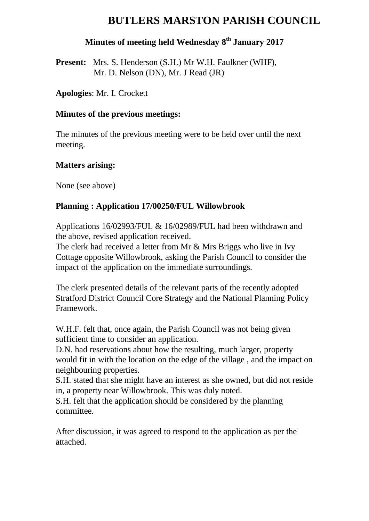# **BUTLERS MARSTON PARISH COUNCIL**

### **Minutes of meeting held Wednesday 8 th January 2017**

**Present:** Mrs. S. Henderson (S.H.) Mr W.H. Faulkner (WHF), Mr. D. Nelson (DN), Mr. J Read (JR)

**Apologies**: Mr. I. Crockett

#### **Minutes of the previous meetings:**

The minutes of the previous meeting were to be held over until the next meeting.

#### **Matters arising:**

None (see above)

### **Planning : Application 17/00250/FUL Willowbrook**

Applications 16/02993/FUL & 16/02989/FUL had been withdrawn and the above, revised application received.

The clerk had received a letter from Mr & Mrs Briggs who live in Ivy Cottage opposite Willowbrook, asking the Parish Council to consider the impact of the application on the immediate surroundings.

The clerk presented details of the relevant parts of the recently adopted Stratford District Council Core Strategy and the National Planning Policy Framework.

W.H.F. felt that, once again, the Parish Council was not being given sufficient time to consider an application.

D.N. had reservations about how the resulting, much larger, property would fit in with the location on the edge of the village , and the impact on neighbouring properties.

S.H. stated that she might have an interest as she owned, but did not reside in, a property near Willowbrook. This was duly noted.

S.H. felt that the application should be considered by the planning committee.

After discussion, it was agreed to respond to the application as per the attached.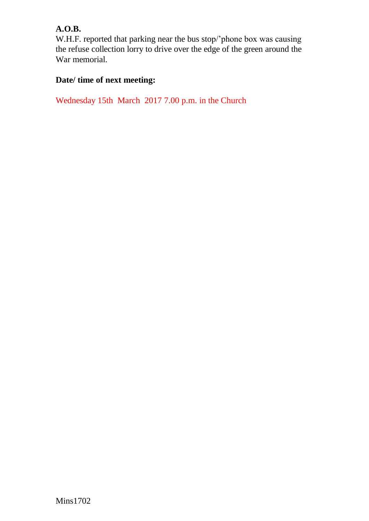### **A.O.B.**

W.H.F. reported that parking near the bus stop/'phone box was causing the refuse collection lorry to drive over the edge of the green around the War memorial.

## **Date/ time of next meeting:**

Wednesday 15th March 2017 7.00 p.m. in the Church